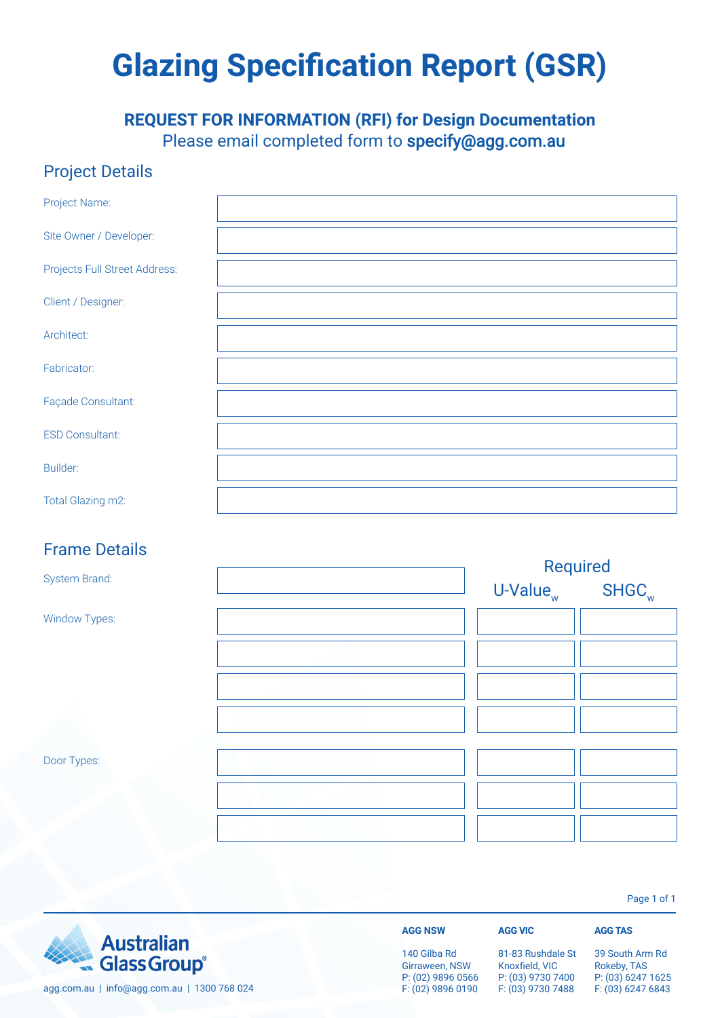# **Glazing Specification Report (GSR)**

## **REQUEST FOR INFORMATION (RFI) for Design Documentation** Please email completed form to specify@agg.com.au

## Project Details

| Project Name:                 |  |
|-------------------------------|--|
| Site Owner / Developer:       |  |
| Projects Full Street Address: |  |
| Client / Designer:            |  |
| Architect:                    |  |
| Fabricator:                   |  |
| Façade Consultant:            |  |
| <b>ESD Consultant:</b>        |  |
| Builder:                      |  |
| Total Glazing m2:             |  |

### Frame Details

|                      | Required                               |  |
|----------------------|----------------------------------------|--|
| <b>System Brand:</b> | $U\text{-Value}_{w}$ SHGC <sub>w</sub> |  |
| Window Types:        |                                        |  |
|                      |                                        |  |
|                      |                                        |  |
|                      |                                        |  |
|                      |                                        |  |
| Door Types:          |                                        |  |
|                      |                                        |  |
|                      |                                        |  |

Page 1 of 1



#### **AGG NSW**

140 Gilba Rd Girraween, NSW P: (02) 9896 0566 F: (02) 9896 0190

81-83 Rushdale St Knoxfield, VIC P: (03) 9730 7400 F: (03) 9730 7488

**AGG VIC**

39 South Arm Rd Rokeby, TAS P: (03) 6247 1625 F: (03) 6247 6843

**AGG TAS**

agg.com.au | info@agg.com.au | 1300 768 024